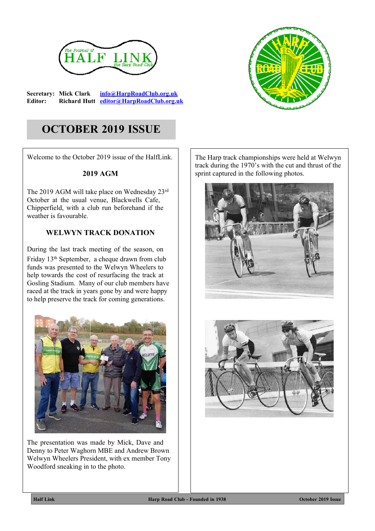

**Secretary: Mick Clark [info@HarpRoadClub.org.uk](mailto:info@HarpRoadClub.org.uk) Editor: Richard Hutt [editor@HarpRoadClub.org.uk](mailto:editor@HarpRoadClub.org.uk)**



# **OCTOBER 2019 ISSUE**

Welcome to the October 2019 issue of the HalfLink.

#### **2019 AGM**

The 2019 AGM will take place on Wednesday 23rd October at the usual venue, Blackwells Cafe, Chipperfield, with a club run beforehand if the weather is favourable.

## **WELWYN TRACK DONATION**

During the last track meeting of the season, on Friday 13th September, a cheque drawn from club funds was presented to the Welwyn Wheelers to help towards the cost of resurfacing the track at Gosling Stadium. Many of our club members have raced at the track in years gone by and were happy to help preserve the track for coming generations.



The presentation was made by Mick, Dave and Denny to Peter Waghorn MBE and Andrew Brown Welwyn Wheelers President, with ex member Tony Woodford sneaking in to the photo.

The Harp track championships were held at Welwyn track during the 1970's with the cut and thrust of the sprint captured in the following photos.





**Half Link Harp Road Club - Founded in 1938 October 2019 Issue**